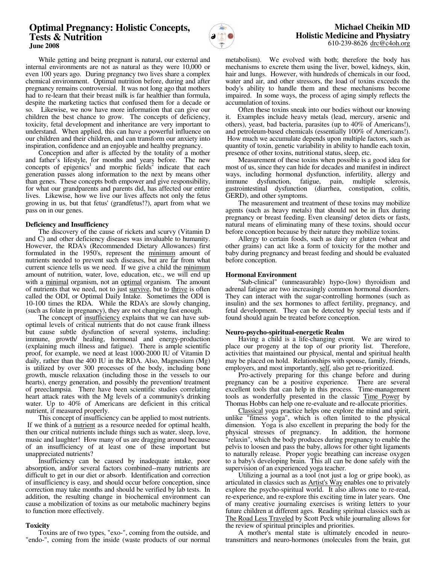# **Optimal Pregnancy: Holistic Concepts, Tests & Nutrition June 2008**



 While getting and being pregnant is natural, our external and internal environments are not as natural as they were 10,000 or even 100 years ago. During pregnancy two lives share a complex chemical environment. Optimal nutrition before, during and after pregnancy remains controversial. It was not long ago that mothers had to re-learn that their breast milk is far healthier than formula, despite the marketing tactics that confused them for a decade or so. Likewise, we now have more information that can give our children the best chance to grow. The concepts of deficiency, toxicity, fetal development and inheritance are very important to understand. When applied, this can have a powerful influence on our children and their children, and can transform our anxiety into inspiration, confidence and an enjoyable and healthy pregnancy.

 Conception and after is affected by the totality of a mother and father's lifestyle, for months and years before. The new concepts of epigenics<sup>1</sup> and morphic fields<sup>2</sup> indicate that each generation passes along information to the next by means other than genes. These concepts both empower and give responsibility, for what our grandparents and parents did, has affected our entire lives. Likewise, how we live our lives affects not only the fetus growing in us, but that fetus' (grandfetus!?), apart from what we pass on in our genes.

#### **Deficiency and Insufficiency**

 The discovery of the cause of rickets and scurvy (Vitamin D and C) and other deficiency diseases was invaluable to humanity. However, the RDA's (Recommended Dietary Allowances) first formulated in the 1950's, represent the minimum amount of nutrients needed to prevent such diseases, but are far from what current science tells us we need. If we give a child the minimum amount of nutrition, water, love, education, etc., we will end up with a minimal organism, not an optimal organism. The amount of nutrients that we need, not to just survive, but to thrive is often called the ODI, or Optimal Daily Intake. Sometimes the ODI is 10-100 times the RDA. While the RDA's are slowly changing, (such as folate in pregnancy), they are not changing fast enough.

The concept of insufficiency explains that we can have suboptimal levels of critical nutrients that do not cause frank illness but cause subtle dysfunction of several systems, including: immune, growth/ healing, hormonal and energy-production (explaining much illness and fatigue). There is ample scientific proof, for example, we need at least 1000-2000 IU of Vitamin D daily, rather than the 400 IU in the RDA. Also, Magnesium (Mg) is utilized by over 300 processes of the body, including bone growth, muscle relaxation (including those in the vessels to our hearts), energy generation, and possibly the prevention/ treatment of preeclampsia. There have been scientific studies correlating heart attack rates with the Mg levels of a community's drinking water. Up to 40% of Americans are deficient in this critical nutrient, if measured properly.

 This concept of insufficiency can be applied to most nutrients. If we think of a nutrient as a resource needed for optimal health, then our critical nutrients include things such as water, sleep, love, music and laughter! How many of us are dragging around because of an insufficiency of at least one of these important but unappreciated nutrients?

 Insufficiency can be caused by inadequate intake, poor absorption, and/or several factors combined--many nutrients are difficult to get in our diet or absorb. Identification and correction of insufficiency is easy, and should occur before conception, since correction may take months and should be verified by lab tests. In addition, the resulting change in biochemical environment can cause a mobilization of toxins as our metabolic machinery begins to function more effectively.

## **Toxicity**

 Toxins are of two types, "exo-", coming from the outside, and "endo-", coming from the inside (waste products of our normal metabolism). We evolved with both; therefore the body has mechanisms to excrete them using the liver, bowel, kidneys, skin, hair and lungs. However, with hundreds of chemicals in our food, water and air, and other stressors, the load of toxins exceeds the body's ability to handle them and these mechanisms become impaired. In some ways, the process of aging simply reflects the accumulation of toxins.

 Often these toxins sneak into our bodies without our knowing it. Examples include heavy metals (lead, mercury, arsenic and others), yeast, bad bacteria, parasites (up to 40% of Americans!), and petroleum-based chemicals (essentially 100% of Americans!). How much we accumulate depends upon multiple factors, such as quantity of toxin, genetic variability in ability to handle each toxin, presence of other toxins, nutritional status, sleep, etc.

 Measurement of these toxins when possible is a good idea for most of us, since they can hide for decades and manifest in indirect ways, including hormonal dysfunction, infertility, allergy and immune dysfunction, fatigue, pain, multiple sclerosis, immune dysfunction, fatigue, pain, multiple gastrointestinal dysfunction (diarrhea, constipation, colitis, GERD), and other symptoms.

 The measurement and treatment of these toxins may mobilize agents (such as heavy metals) that should not be in flux during pregnancy or breast feeding. Even cleansing/ detox diets or fasts, natural means of eliminating many of these toxins, should occur before conception because by their nature they mobilize toxins.

 Allergy to certain foods, such as dairy or gluten (wheat and other grains) can act like a form of toxicity for the mother and baby during pregnancy and breast feeding and should be evaluated before conception.

#### **Hormonal Environment**

 "Sub-clinical" (unmeasurable) hypo-(low) thyroidism and adrenal fatigue are two increasingly common hormonal disorders. They can interact with the sugar-controlling hormones (such as insulin) and the sex hormones to affect fertility, pregnancy, and fetal development. They can be detected by special tests and if found should again be treated before conception.

## **Neuro-psycho-spiritual-energetic Realm**

 Having a child is a life-changing event. We are wired to place our progeny at the top of our priority list. Therefore, activities that maintained our physical, mental and spiritual health may be placed on hold. Relationships with spouse, family, friends, employers, and most importantly, self, also get re-prioritized.

 Pro-actively preparing for this change before and during pregnancy can be a positive experience. There are several excellent tools that can help in this process. Time-management tools as wonderfully presented in the classic Time Power by Thomas Hobbs can help one re-evaluate and re-allocate priorities.

 Classical yoga practice helps one explore the mind and spirit, unlike "fitness yoga", which is often limited to the physical dimension. Yoga is also excellent in preparing the body for the physical stresses of pregnancy. In addition, the hormone physical stresses of pregnancy. "relaxin", which the body produces during pregnancy to enable the pelvis to loosen and pass the baby, allows for other tight ligaments to naturally release. Proper yogic breathing can increase oxygen to a baby's developing brain. This all can be done safely with the supervision of an experienced yoga teacher.

 Utilizing a journal as a tool (not just a log or gripe book), as articulated in classics such as Artist's Way enables one to privately explore the psycho-spiritual world. It also allows one to re-read, re-experience, and re-explore this exciting time in later years. One of many creative journaling exercises is writing letters to your future children at different ages. Reading spiritual classics such as The Road Less Traveled by Scott Peck while journaling allows for the review of spiritual principles and priorities.

 A mother's mental state is ultimately encoded in neurotransmitters and neuro-hormones (molecules from the brain, gut